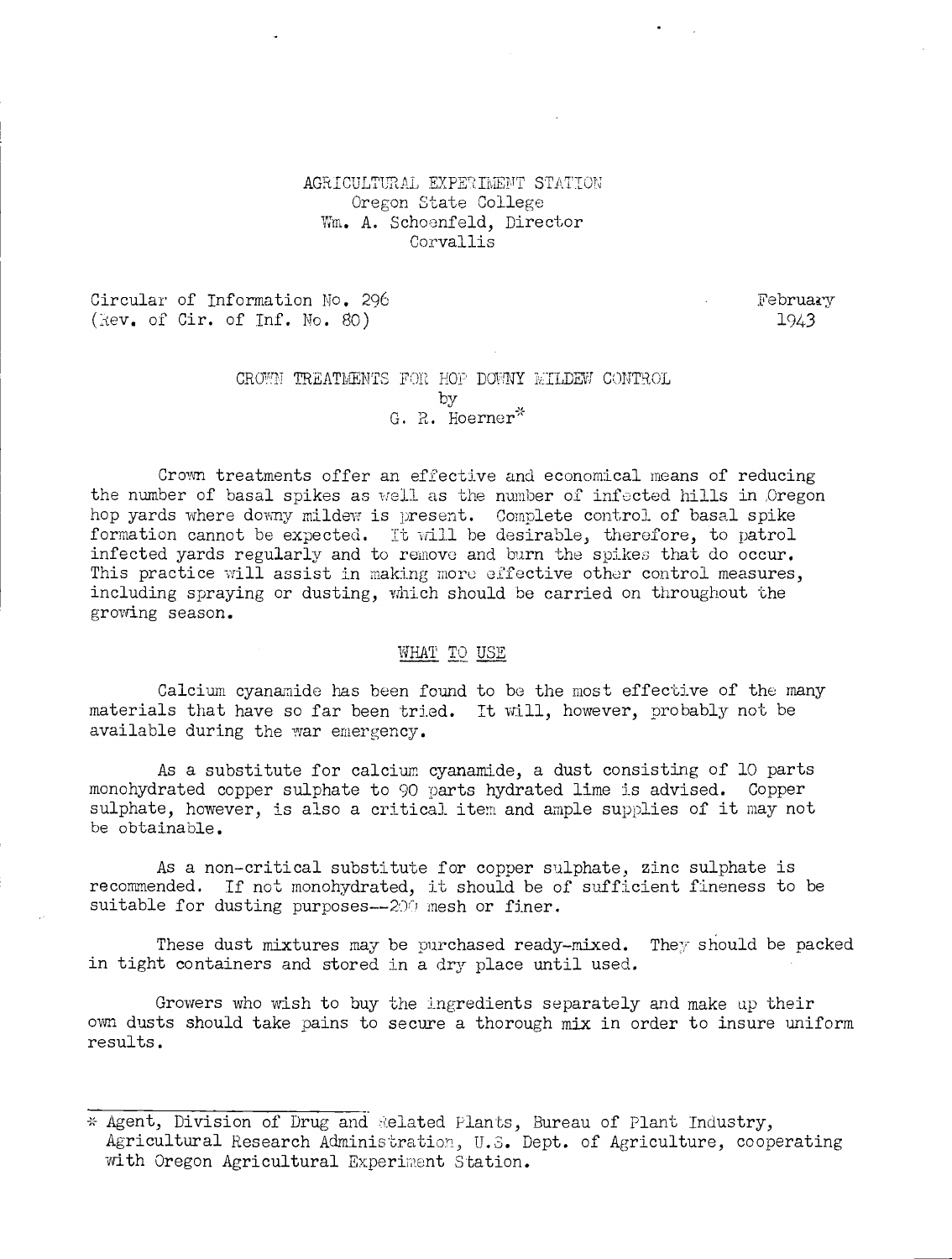# AGRICULTURAL EXPERIMENT STATION Oregon State College Wm. A. Schoenfeld. Director Corvallis

Circular of Information No. 296 February (Rev. of Cir. of Inf. No. 80) 1943

## CROWN TREATMENTS FOR HOP DOWNY WILDEW CONTROL by G. R. Hoerner<sup>\*</sup>

Crown treatments offer an effective and economical means of reducing the number of basal spikes as well as the number of infected hills in Oregon hop yards where downy mildew is present. Complete control of basal spike formation cannot be expected. It will he desirable, therefore, to patrol infected yards regularly and to remove and burn the spikes that do occur. This practice will assist in making more effective other control measures, including spraying or dusting, which should be carried on throughout the growing season.

#### WHAT TO USE

Calcium cyananide has been found to be the most effective of the many materials that have so far been tried. It will, however, probably not be available during the war emergency.

As a substitute for calcium cyanamide, a dust consisting of 10 parts monohydrated copper sulphate to 90 parts hydrated lime is advised. Copper sulphate, however, is also a critical item and ample supplies of it may not be obtainable.

As a non-critical substitute for copper sulphate, zinc sulphate is recommended. If not monohydrated, it should be of sufficient fineness to be suitable for dusting purposes--200 mesh or finer.

These dust mixtures may be purchased ready-mixed. They should be packed in tight containers and stored in a dry place until used.

Growers who wish to buy the ingredients separately and make up their own dusts should take pains to secure a thorough mix in order to insure uniform results.

<sup>\*</sup> Agent, Division of Drug and Related Plants, Bureau of Plant Industry, Agricultural Research Administration, U.S. Dept. of Agriculture, cooperating with Oregon Agricultural Experiment Station.